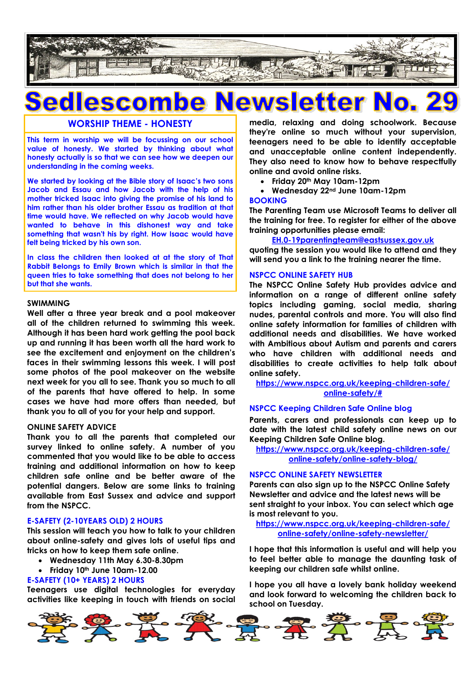

# **Sedlescombe** ewsletter

## **WORSHIP THEME - HONESTY**

**This term in worship we will be focussing on our school value of honesty. We started by thinking about what honesty actually is so that we can see how we deepen our understanding in the coming weeks.**

**We started by looking at the Bible story of Isaac's two sons Jacob and Essau and how Jacob with the help of his mother tricked Isaac into giving the promise of his land to him rather than his older brother Essau as tradition at that time would have. We reflected on why Jacob would have wanted to behave in this dishonest way and take something that wasn't his by right. How Isaac would have felt being tricked by his own son.**

**In class the children then looked at at the story of That Rabbit Belongs to Emily Brown which is similar in that the queen tries to take something that does not belong to her but that she wants.**

### **SWIMMING**

**Well after a three year break and a pool makeover all of the children returned to swimming this week. Although it has been hard work getting the pool back up and running it has been worth all the hard work to see the excitement and enjoyment on the children's faces in their swimming lessons this week. I will post some photos of the pool makeover on the website next week for you all to see. Thank you so much to all of the parents that have offered to help. In some cases we have had more offers than needed, but thank you to all of you for your help and support.**

#### **ONLINE SAFETY ADVICE**

**Thank you to all the parents that completed our survey linked to online safety. A number of you commented that you would like to be able to access training and additional information on how to keep children safe online and be better aware of the potential dangers. Below are some links to training available from East Sussex and advice and support from the NSPCC.**

#### **E-SAFETY (2-10YEARS OLD) 2 HOURS**

**This session will teach you how to talk to your children about online-safety and gives lots of useful tips and tricks on how to keep them safe online.**

- **Wednesday 11th May 6.30-8.30pm**
- **Friday 10th June 10am-12.00**

#### **E-SAFETY (10+ YEARS) 2 HOURS**

**Teenagers use digital technologies for everyday activities like keeping in touch with friends on social**  **media, relaxing and doing schoolwork. Because they're online so much without your supervision, teenagers need to be able to identify acceptable and unacceptable online content independently. They also need to know how to behave respectfully online and avoid online risks.**

- **Friday 20th May 10am-12pm**
- **Wednesday 22nd June 10am-12pm**

#### **BOOKING**

**The Parenting Team use Microsoft Teams to deliver all the training for free. To register for either of the above training opportunities please email:**

#### **[EH.0-19parentingteam@eastsussex.gov.uk](mailto:EH.0-19parentingteam@eastsussex.gov.uk)**

**quoting the session you would like to attend and they will send you a link to the training nearer the time.**

#### **NSPCC ONLINE SAFETY HUB**

**The NSPCC Online Safety Hub provides advice and information on a range of different online safety topics including gaming, social media, sharing nudes, parental controls and more. You will also find online safety information for families of children with additional needs and disabilities. We have worked with Ambitious about Autism and parents and carers who have children with additional needs and disabilities to create activities to help talk about online safety.** 

**[https://www.nspcc.org.uk/keeping-children-safe/](https://www.nspcc.org.uk/keeping-children-safe/online-safety/#) [online-safety/#](https://www.nspcc.org.uk/keeping-children-safe/online-safety/#)**

#### **NSPCC Keeping Children Safe Online blog**

**Parents, carers and professionals can keep up to date with the latest child safety online news on our Keeping Children Safe Online blog.**

**[https://www.nspcc.org.uk/keeping-children-safe/](https://www.nspcc.org.uk/keeping-children-safe/online-safety/online-safety-blog/) [online-safety/online-safety-blog/](https://www.nspcc.org.uk/keeping-children-safe/online-safety/online-safety-blog/)**

#### **NSPCC ONLINE SAFETY NEWSLETTER**

**Parents can also sign up to the NSPCC Online Safety Newsletter and advice and the latest news will be sent straight to your inbox. You can select which age is most relevant to you.**

**[https://www.nspcc.org.uk/keeping-children-safe/](https://www.nspcc.org.uk/keeping-children-safe/online-safety/online-safety-newsletter/) [online-safety/online-safety-newsletter/](https://www.nspcc.org.uk/keeping-children-safe/online-safety/online-safety-newsletter/)**

**I hope that this information is useful and will help you to feel better able to manage the daunting task of keeping our children safe whilst online.**

**I hope you all have a lovely bank holiday weekend and look forward to welcoming the children back to school on Tuesday.**